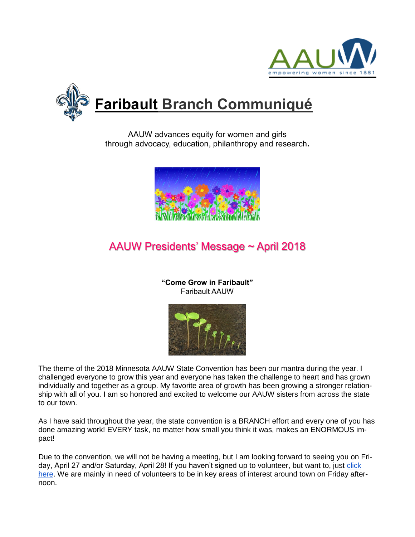



AAUW advances equity for women and girls through advocacy, education, philanthropy and research**.**



# AAUW Presidents' Message ~ April 2018

**"Come Grow in Faribault"** Faribault AAUW



The theme of the 2018 Minnesota AAUW State Convention has been our mantra during the year. I challenged everyone to grow this year and everyone has taken the challenge to heart and has grown individually and together as a group. My favorite area of growth has been growing a stronger relationship with all of you. I am so honored and excited to welcome our AAUW sisters from across the state to our town.

As I have said throughout the year, the state convention is a BRANCH effort and every one of you has done amazing work! EVERY task, no matter how small you think it was, makes an ENORMOUS impact!

Due to the convention, we will not be having a meeting, but I am looking forward to seeing you on Friday, April 27 and/or Saturday, April 28! If you haven't signed up to volunteer, but want to, just [click](https://docs.google.com/document/d/1LdHKWUG3ruU_iWDoe_LaL0F7qbdtjkGWQor56FCbvjE/edit?usp=sharing)  [here.](https://docs.google.com/document/d/1LdHKWUG3ruU_iWDoe_LaL0F7qbdtjkGWQor56FCbvjE/edit?usp=sharing) We are mainly in need of volunteers to be in key areas of interest around town on Friday afternoon.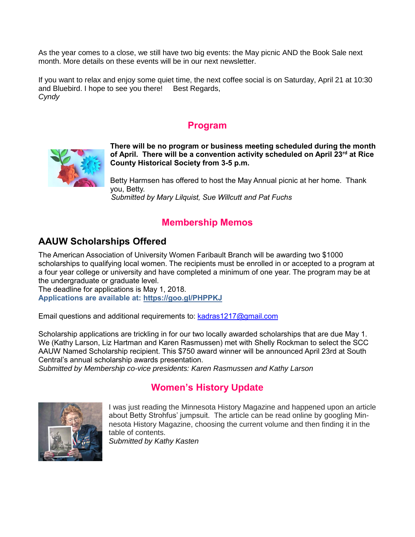As the year comes to a close, we still have two big events: the May picnic AND the Book Sale next month. More details on these events will be in our next newsletter.

If you want to relax and enjoy some quiet time, the next coffee social is on Saturday, April 21 at 10:30 and Bluebird. I hope to see you there! Best Regards, *Cyndy*

#### **Program**



**There will be no program or business meeting scheduled during the month of April. There will be a convention activity scheduled on April 23rd at Rice County Historical Society from 3-5 p.m.**

Betty Harmsen has offered to host the May Annual picnic at her home. Thank you, Betty. *Submitted by Mary Lilquist, Sue Willcutt and Pat Fuchs*

## **Membership Memos**

#### **AAUW Scholarships Offered**

The American Association of University Women Faribault Branch will be awarding two \$1000 scholarships to qualifying local women. The recipients must be enrolled in or accepted to a program at a four year college or university and have completed a minimum of one year. The program may be at the undergraduate or graduate level.

The deadline for applications is May 1, 2018. **Applications are available at:<https://goo.gl/PHPPKJ>**

Email questions and additional requirements to: [kadras1217@gmail.com](mailto:kadras1217@gmail.com)

Scholarship applications are trickling in for our two locally awarded scholarships that are due May 1. We (Kathy Larson, Liz Hartman and Karen Rasmussen) met with Shelly Rockman to select the SCC AAUW Named Scholarship recipient. This \$750 award winner will be announced April 23rd at South Central's annual scholarship awards presentation.

*Submitted by Membership co-vice presidents: Karen Rasmussen and Kathy Larson*

## **Women's History Update**



I was just reading the Minnesota History Magazine and happened upon an article about Betty Strohfus' jumpsuit. The article can be read online by googling Minnesota History Magazine, choosing the current volume and then finding it in the table of contents.

*Submitted by Kathy Kasten*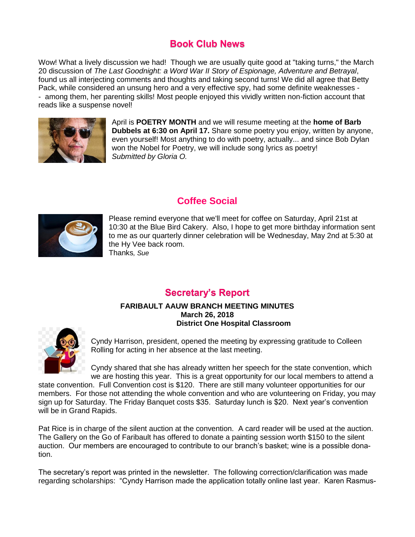#### **Book Club News**

Wow! What a lively discussion we had! Though we are usually quite good at "taking turns," the March 20 discussion of *The Last Goodnight: a Word War II Story of Espionage, Adventure and Betrayal*, found us all interjecting comments and thoughts and taking second turns! We did all agree that Betty Pack, while considered an unsung hero and a very effective spy, had some definite weaknesses - - among them, her parenting skills! Most people enjoyed this vividly written non-fiction account that reads like a suspense novel!



April is **POETRY MONTH** and we will resume meeting at the **home of Barb Dubbels at 6:30 on April 17.** Share some poetry you enjoy, written by anyone, even yourself! Most anything to do with poetry, actually... and since Bob Dylan won the Nobel for Poetry, we will include song lyrics as poetry! *Submitted by Gloria O.* 





Please remind everyone that we'll meet for coffee on Saturday, April 21st at 10:30 at the Blue Bird Cakery. Also, I hope to get more birthday information sent to me as our quarterly dinner celebration will be Wednesday, May 2nd at 5:30 at the Hy Vee back room. Thanks*, Sue*

#### **Secretary's Report**

#### **FARIBAULT AAUW BRANCH MEETING MINUTES March 26, 2018 District One Hospital Classroom**



Cyndy Harrison, president, opened the meeting by expressing gratitude to Colleen Rolling for acting in her absence at the last meeting.

Cyndy shared that she has already written her speech for the state convention, which we are hosting this year. This is a great opportunity for our local members to attend a

state convention. Full Convention cost is \$120. There are still many volunteer opportunities for our members. For those not attending the whole convention and who are volunteering on Friday, you may sign up for Saturday. The Friday Banquet costs \$35. Saturday lunch is \$20. Next year's convention will be in Grand Rapids.

Pat Rice is in charge of the silent auction at the convention. A card reader will be used at the auction. The Gallery on the Go of Faribault has offered to donate a painting session worth \$150 to the silent auction. Our members are encouraged to contribute to our branch's basket; wine is a possible donation.

The secretary's report was printed in the newsletter. The following correction/clarification was made regarding scholarships: "Cyndy Harrison made the application totally online last year. Karen Rasmus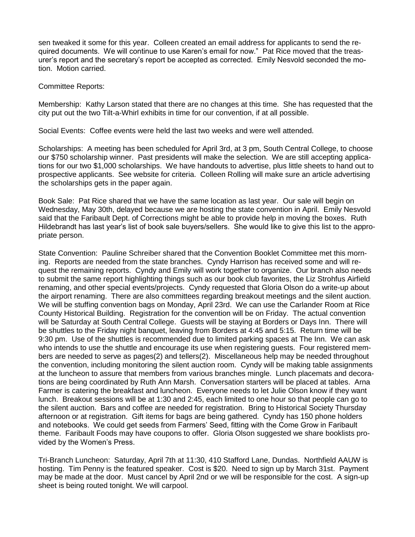sen tweaked it some for this year. Colleen created an email address for applicants to send the required documents. We will continue to use Karen's email for now." Pat Rice moved that the treasurer's report and the secretary's report be accepted as corrected. Emily Nesvold seconded the motion. Motion carried.

Committee Reports:

Membership: Kathy Larson stated that there are no changes at this time. She has requested that the city put out the two Tilt-a-Whirl exhibits in time for our convention, if at all possible.

Social Events: Coffee events were held the last two weeks and were well attended.

Scholarships: A meeting has been scheduled for April 3rd, at 3 pm, South Central College, to choose our \$750 scholarship winner. Past presidents will make the selection. We are still accepting applications for our two \$1,000 scholarships. We have handouts to advertise, plus little sheets to hand out to prospective applicants. See website for criteria. Colleen Rolling will make sure an article advertising the scholarships gets in the paper again.

Book Sale: Pat Rice shared that we have the same location as last year. Our sale will begin on Wednesday, May 30th, delayed because we are hosting the state convention in April. Emily Nesvold said that the Faribault Dept. of Corrections might be able to provide help in moving the boxes. Ruth Hildebrandt has last year's list of book sale buyers/sellers. She would like to give this list to the appropriate person.

State Convention: Pauline Schreiber shared that the Convention Booklet Committee met this morning. Reports are needed from the state branches. Cyndy Harrison has received some and will request the remaining reports. Cyndy and Emily will work together to organize. Our branch also needs to submit the same report highlighting things such as our book club favorites, the Liz Strohfus Airfield renaming, and other special events/projects. Cyndy requested that Gloria Olson do a write-up about the airport renaming. There are also committees regarding breakout meetings and the silent auction. We will be stuffing convention bags on Monday, April 23rd. We can use the Carlander Room at Rice County Historical Building. Registration for the convention will be on Friday. The actual convention will be Saturday at South Central College. Guests will be staying at Borders or Days Inn. There will be shuttles to the Friday night banquet, leaving from Borders at 4:45 and 5:15. Return time will be 9:30 pm. Use of the shuttles is recommended due to limited parking spaces at The Inn. We can ask who intends to use the shuttle and encourage its use when registering guests. Four registered members are needed to serve as pages(2) and tellers(2). Miscellaneous help may be needed throughout the convention, including monitoring the silent auction room. Cyndy will be making table assignments at the luncheon to assure that members from various branches mingle. Lunch placemats and decorations are being coordinated by Ruth Ann Marsh. Conversation starters will be placed at tables. Arna Farmer is catering the breakfast and luncheon. Everyone needs to let Julie Olson know if they want lunch. Breakout sessions will be at 1:30 and 2:45, each limited to one hour so that people can go to the silent auction. Bars and coffee are needed for registration. Bring to Historical Society Thursday afternoon or at registration. Gift items for bags are being gathered. Cyndy has 150 phone holders and notebooks. We could get seeds from Farmers' Seed, fitting with the Come Grow in Faribault theme. Faribault Foods may have coupons to offer. Gloria Olson suggested we share booklists provided by the Women's Press.

Tri-Branch Luncheon: Saturday, April 7th at 11:30, 410 Stafford Lane, Dundas. Northfield AAUW is hosting. Tim Penny is the featured speaker. Cost is \$20. Need to sign up by March 31st. Payment may be made at the door. Must cancel by April 2nd or we will be responsible for the cost. A sign-up sheet is being routed tonight. We will carpool.